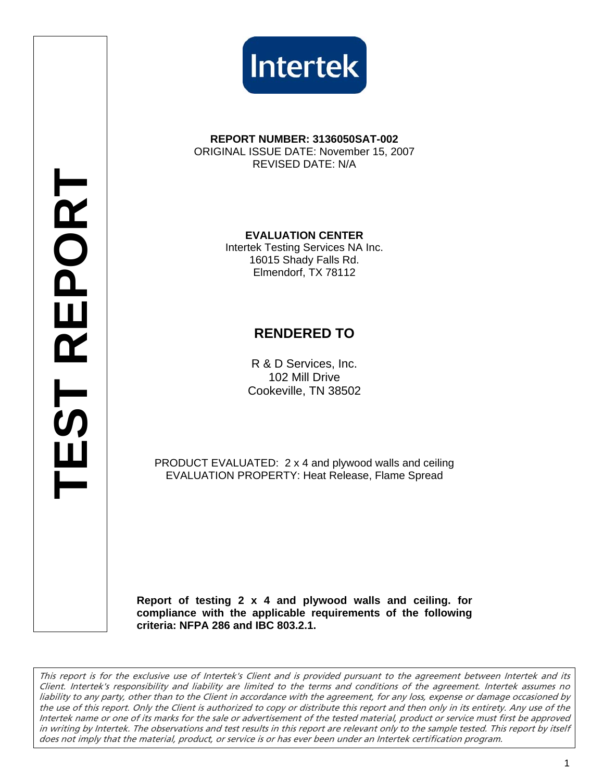



#### **REPORT NUMBER: 3136050SAT-002**  ORIGINAL ISSUE DATE: November 15, 2007 REVISED DATE: N/A

**EVALUATION CENTER**  Intertek Testing Services NA Inc. 16015 Shady Falls Rd. Elmendorf, TX 78112

# **RENDERED TO**

R & D Services, Inc. 102 Mill Drive Cookeville, TN 38502

PRODUCT EVALUATED: 2 x 4 and plywood walls and ceiling EVALUATION PROPERTY: Heat Release, Flame Spread

**Report of testing 2 x 4 and plywood walls and ceiling. for compliance with the applicable requirements of the following criteria: NFPA 286 and IBC 803.2.1.** 

This report is for the exclusive use of Intertek's Client and is provided pursuant to the agreement between Intertek and its Client. Intertek's responsibility and liability are limited to the terms and conditions of the agreement. Intertek assumes no liability to any party, other than to the Client in accordance with the agreement, for any loss, expense or damage occasioned by the use of this report. Only the Client is authorized to copy or distribute this report and then only in its entirety. Any use of the Intertek name or one of its marks for the sale or advertisement of the tested material, product or service must first be approved in writing by Intertek. The observations and test results in this report are relevant only to the sample tested. This report by itself does not imply that the material, product, or service is or has ever been under an Intertek certification program.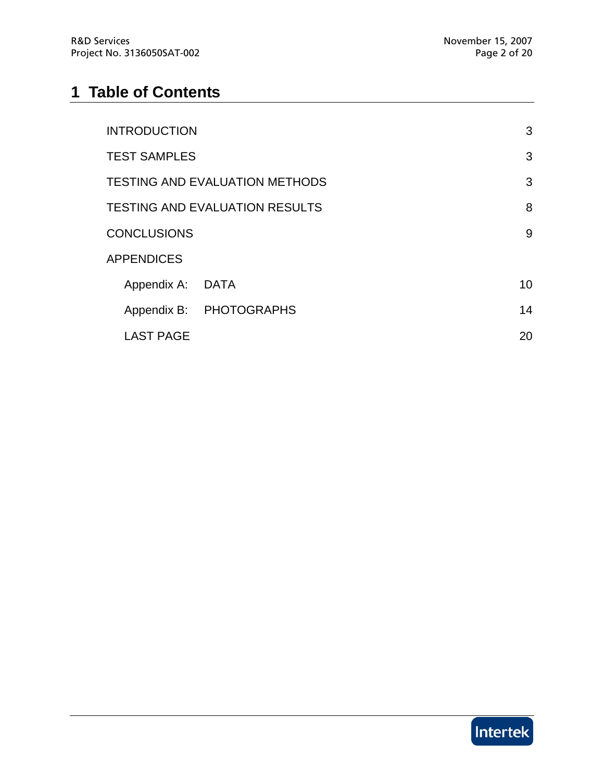# **1 Table of Contents**

| <b>INTRODUCTION</b>                   |                         | 3  |
|---------------------------------------|-------------------------|----|
| <b>TEST SAMPLES</b>                   |                         | 3  |
| <b>TESTING AND EVALUATION METHODS</b> |                         |    |
| <b>TESTING AND EVALUATION RESULTS</b> |                         | 8  |
| <b>CONCLUSIONS</b>                    |                         | 9  |
| <b>APPENDICES</b>                     |                         |    |
| Appendix A: DATA                      |                         | 10 |
|                                       | Appendix B: PHOTOGRAPHS | 14 |
| <b>LAST PAGE</b>                      |                         | 20 |

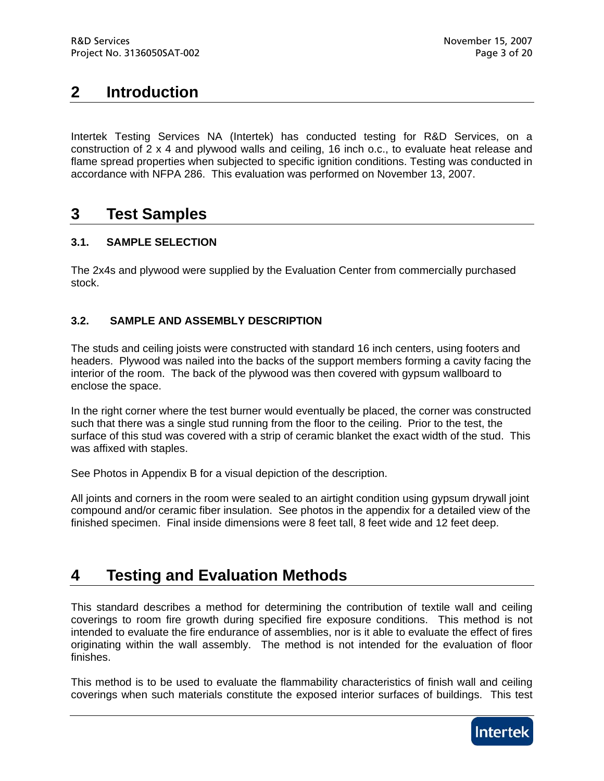# **2 Introduction**

Intertek Testing Services NA (Intertek) has conducted testing for R&D Services, on a construction of 2 x 4 and plywood walls and ceiling, 16 inch o.c., to evaluate heat release and flame spread properties when subjected to specific ignition conditions. Testing was conducted in accordance with NFPA 286. This evaluation was performed on November 13, 2007.

## **3 Test Samples**

### **3.1. SAMPLE SELECTION**

The 2x4s and plywood were supplied by the Evaluation Center from commercially purchased stock.

### **3.2. SAMPLE AND ASSEMBLY DESCRIPTION**

The studs and ceiling joists were constructed with standard 16 inch centers, using footers and headers. Plywood was nailed into the backs of the support members forming a cavity facing the interior of the room. The back of the plywood was then covered with gypsum wallboard to enclose the space.

In the right corner where the test burner would eventually be placed, the corner was constructed such that there was a single stud running from the floor to the ceiling. Prior to the test, the surface of this stud was covered with a strip of ceramic blanket the exact width of the stud. This was affixed with staples.

See Photos in Appendix B for a visual depiction of the description.

All joints and corners in the room were sealed to an airtight condition using gypsum drywall joint compound and/or ceramic fiber insulation. See photos in the appendix for a detailed view of the finished specimen. Final inside dimensions were 8 feet tall, 8 feet wide and 12 feet deep.

# **4 Testing and Evaluation Methods**

This standard describes a method for determining the contribution of textile wall and ceiling coverings to room fire growth during specified fire exposure conditions. This method is not intended to evaluate the fire endurance of assemblies, nor is it able to evaluate the effect of fires originating within the wall assembly. The method is not intended for the evaluation of floor finishes.

This method is to be used to evaluate the flammability characteristics of finish wall and ceiling coverings when such materials constitute the exposed interior surfaces of buildings. This test

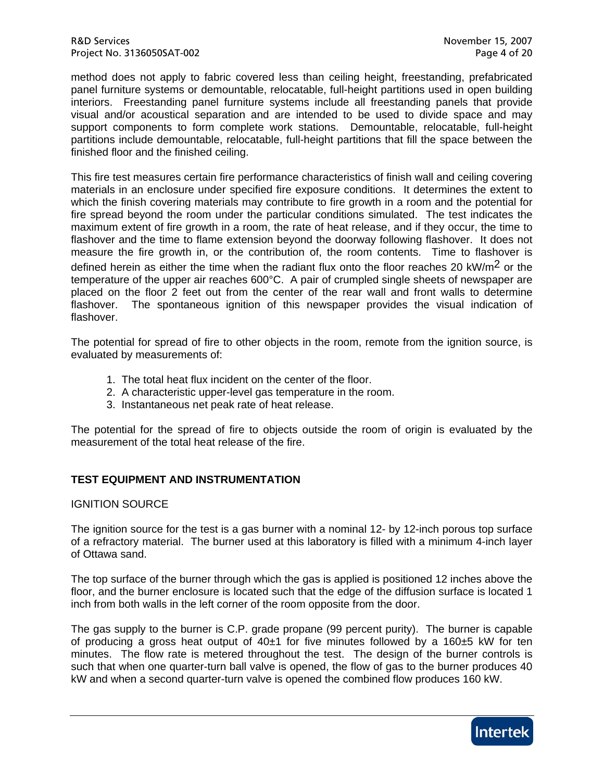method does not apply to fabric covered less than ceiling height, freestanding, prefabricated panel furniture systems or demountable, relocatable, full-height partitions used in open building interiors. Freestanding panel furniture systems include all freestanding panels that provide visual and/or acoustical separation and are intended to be used to divide space and may support components to form complete work stations. Demountable, relocatable, full-height partitions include demountable, relocatable, full-height partitions that fill the space between the finished floor and the finished ceiling.

This fire test measures certain fire performance characteristics of finish wall and ceiling covering materials in an enclosure under specified fire exposure conditions. It determines the extent to which the finish covering materials may contribute to fire growth in a room and the potential for fire spread beyond the room under the particular conditions simulated. The test indicates the maximum extent of fire growth in a room, the rate of heat release, and if they occur, the time to flashover and the time to flame extension beyond the doorway following flashover. It does not measure the fire growth in, or the contribution of, the room contents. Time to flashover is defined herein as either the time when the radiant flux onto the floor reaches 20 kW/m<sup>2</sup> or the temperature of the upper air reaches 600°C. A pair of crumpled single sheets of newspaper are placed on the floor 2 feet out from the center of the rear wall and front walls to determine flashover. The spontaneous ignition of this newspaper provides the visual indication of flashover.

The potential for spread of fire to other objects in the room, remote from the ignition source, is evaluated by measurements of:

- 1. The total heat flux incident on the center of the floor.
- 2. A characteristic upper-level gas temperature in the room.
- 3. Instantaneous net peak rate of heat release.

The potential for the spread of fire to objects outside the room of origin is evaluated by the measurement of the total heat release of the fire.

### **TEST EQUIPMENT AND INSTRUMENTATION**

#### IGNITION SOURCE

The ignition source for the test is a gas burner with a nominal 12- by 12-inch porous top surface of a refractory material. The burner used at this laboratory is filled with a minimum 4-inch layer of Ottawa sand.

The top surface of the burner through which the gas is applied is positioned 12 inches above the floor, and the burner enclosure is located such that the edge of the diffusion surface is located 1 inch from both walls in the left corner of the room opposite from the door.

The gas supply to the burner is C.P. grade propane (99 percent purity). The burner is capable of producing a gross heat output of  $40±1$  for five minutes followed by a 160 $±5$  kW for ten minutes. The flow rate is metered throughout the test. The design of the burner controls is such that when one quarter-turn ball valve is opened, the flow of gas to the burner produces 40 kW and when a second quarter-turn valve is opened the combined flow produces 160 kW.

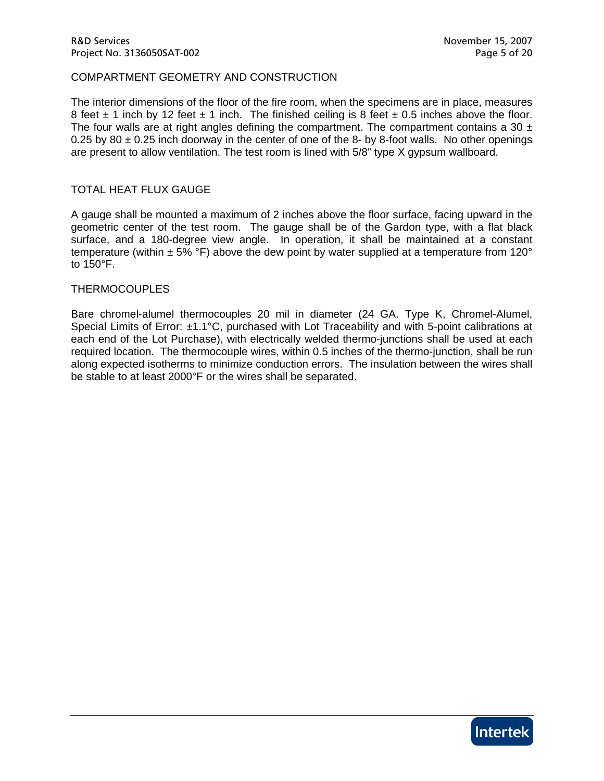#### COMPARTMENT GEOMETRY AND CONSTRUCTION

The interior dimensions of the floor of the fire room, when the specimens are in place, measures 8 feet  $\pm$  1 inch by 12 feet  $\pm$  1 inch. The finished ceiling is 8 feet  $\pm$  0.5 inches above the floor. The four walls are at right angles defining the compartment. The compartment contains a 30  $\pm$ 0.25 by 80  $\pm$  0.25 inch doorway in the center of one of the 8- by 8-foot walls. No other openings are present to allow ventilation. The test room is lined with 5/8" type X gypsum wallboard.

#### TOTAL HEAT FLUX GAUGE

A gauge shall be mounted a maximum of 2 inches above the floor surface, facing upward in the geometric center of the test room. The gauge shall be of the Gardon type, with a flat black surface, and a 180-degree view angle. In operation, it shall be maintained at a constant temperature (within  $\pm$  5% °F) above the dew point by water supplied at a temperature from 120° to 150°F.

#### THERMOCOUPLES

Bare chromel-alumel thermocouples 20 mil in diameter (24 GA. Type K, Chromel-Alumel, Special Limits of Error: ±1.1°C, purchased with Lot Traceability and with 5-point calibrations at each end of the Lot Purchase), with electrically welded thermo-junctions shall be used at each required location. The thermocouple wires, within 0.5 inches of the thermo-junction, shall be run along expected isotherms to minimize conduction errors. The insulation between the wires shall be stable to at least 2000°F or the wires shall be separated.

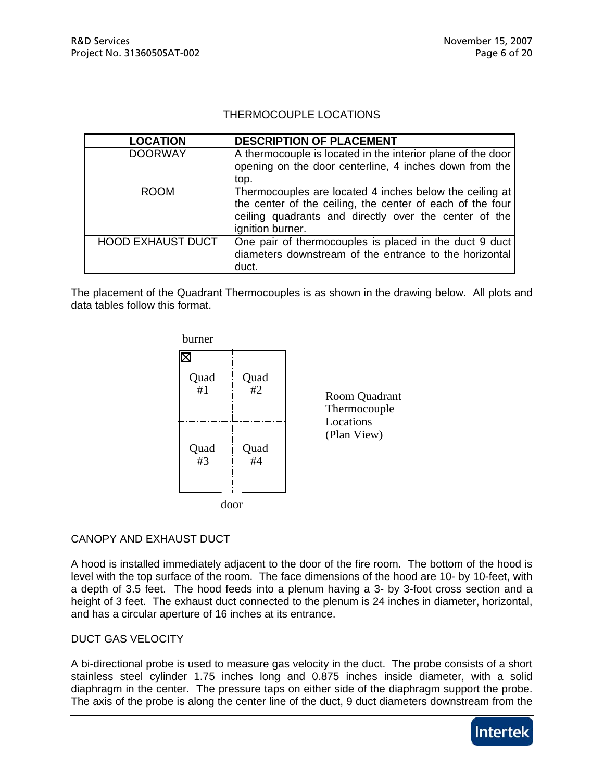### THERMOCOUPLE LOCATIONS

| <b>LOCATION</b>          | <b>DESCRIPTION OF PLACEMENT</b>                             |
|--------------------------|-------------------------------------------------------------|
| <b>DOORWAY</b>           | A thermocouple is located in the interior plane of the door |
|                          | opening on the door centerline, 4 inches down from the      |
|                          | top.                                                        |
| <b>ROOM</b>              | Thermocouples are located 4 inches below the ceiling at     |
|                          | the center of the ceiling, the center of each of the four   |
|                          | ceiling quadrants and directly over the center of the       |
|                          | ignition burner.                                            |
| <b>HOOD EXHAUST DUCT</b> | One pair of thermocouples is placed in the duct 9 duct      |
|                          | diameters downstream of the entrance to the horizontal      |
|                          | duct.                                                       |

The placement of the Quadrant Thermocouples is as shown in the drawing below. All plots and data tables follow this format.



### CANOPY AND EXHAUST DUCT

A hood is installed immediately adjacent to the door of the fire room. The bottom of the hood is level with the top surface of the room. The face dimensions of the hood are 10- by 10-feet, with a depth of 3.5 feet. The hood feeds into a plenum having a 3- by 3-foot cross section and a height of 3 feet. The exhaust duct connected to the plenum is 24 inches in diameter, horizontal, and has a circular aperture of 16 inches at its entrance.

### DUCT GAS VELOCITY

A bi-directional probe is used to measure gas velocity in the duct. The probe consists of a short stainless steel cylinder 1.75 inches long and 0.875 inches inside diameter, with a solid diaphragm in the center. The pressure taps on either side of the diaphragm support the probe. The axis of the probe is along the center line of the duct, 9 duct diameters downstream from the

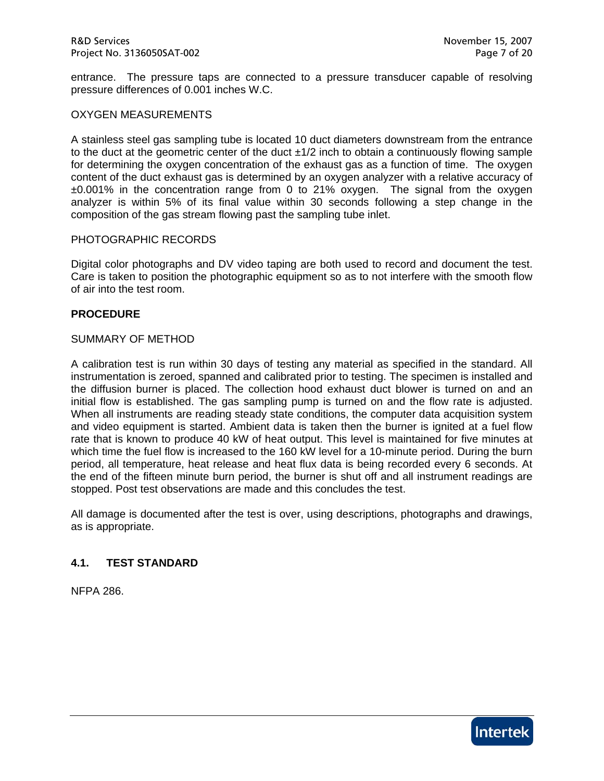entrance. The pressure taps are connected to a pressure transducer capable of resolving pressure differences of 0.001 inches W.C.

#### OXYGEN MEASUREMENTS

A stainless steel gas sampling tube is located 10 duct diameters downstream from the entrance to the duct at the geometric center of the duct ±1/2 inch to obtain a continuously flowing sample for determining the oxygen concentration of the exhaust gas as a function of time. The oxygen content of the duct exhaust gas is determined by an oxygen analyzer with a relative accuracy of ±0.001% in the concentration range from 0 to 21% oxygen. The signal from the oxygen analyzer is within 5% of its final value within 30 seconds following a step change in the composition of the gas stream flowing past the sampling tube inlet.

#### PHOTOGRAPHIC RECORDS

Digital color photographs and DV video taping are both used to record and document the test. Care is taken to position the photographic equipment so as to not interfere with the smooth flow of air into the test room.

#### **PROCEDURE**

#### SUMMARY OF METHOD

A calibration test is run within 30 days of testing any material as specified in the standard. All instrumentation is zeroed, spanned and calibrated prior to testing. The specimen is installed and the diffusion burner is placed. The collection hood exhaust duct blower is turned on and an initial flow is established. The gas sampling pump is turned on and the flow rate is adjusted. When all instruments are reading steady state conditions, the computer data acquisition system and video equipment is started. Ambient data is taken then the burner is ignited at a fuel flow rate that is known to produce 40 kW of heat output. This level is maintained for five minutes at which time the fuel flow is increased to the 160 kW level for a 10-minute period. During the burn period, all temperature, heat release and heat flux data is being recorded every 6 seconds. At the end of the fifteen minute burn period, the burner is shut off and all instrument readings are stopped. Post test observations are made and this concludes the test.

All damage is documented after the test is over, using descriptions, photographs and drawings, as is appropriate.

#### **4.1. TEST STANDARD**

NFPA 286.

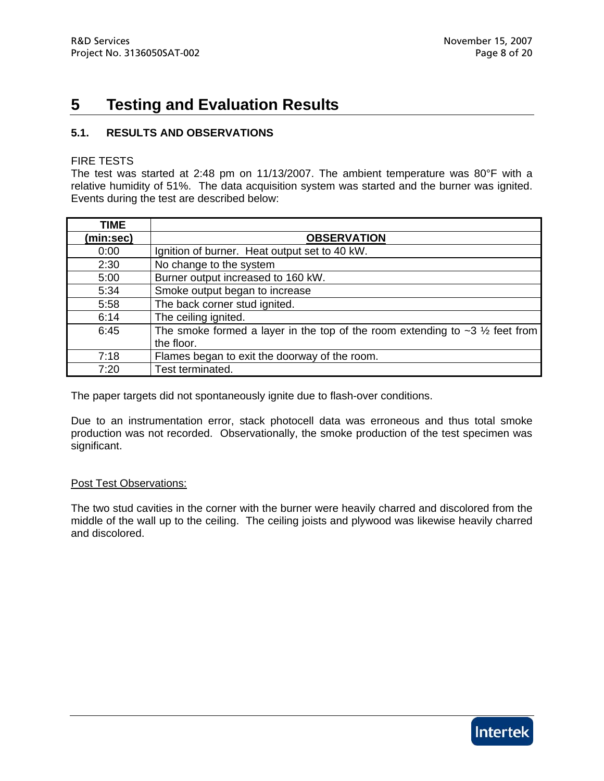# **5 Testing and Evaluation Results**

### **5.1. RESULTS AND OBSERVATIONS**

#### FIRE TESTS

The test was started at 2:48 pm on 11/13/2007. The ambient temperature was 80°F with a relative humidity of 51%. The data acquisition system was started and the burner was ignited. Events during the test are described below:

| <b>TIME</b> |                                                                                     |
|-------------|-------------------------------------------------------------------------------------|
| (min:sec)   | <b>OBSERVATION</b>                                                                  |
| 0:00        | Ignition of burner. Heat output set to 40 kW.                                       |
| 2:30        | No change to the system                                                             |
| 5:00        | Burner output increased to 160 kW.                                                  |
| 5:34        | Smoke output began to increase                                                      |
| 5:58        | The back corner stud ignited.                                                       |
| 6:14        | The ceiling ignited.                                                                |
| 6:45        | The smoke formed a layer in the top of the room extending to $\sim$ 3 1/2 feet from |
|             | the floor.                                                                          |
| 7:18        | Flames began to exit the doorway of the room.                                       |
| 7:20        | Test terminated.                                                                    |

The paper targets did not spontaneously ignite due to flash-over conditions.

Due to an instrumentation error, stack photocell data was erroneous and thus total smoke production was not recorded. Observationally, the smoke production of the test specimen was significant.

#### Post Test Observations:

The two stud cavities in the corner with the burner were heavily charred and discolored from the middle of the wall up to the ceiling. The ceiling joists and plywood was likewise heavily charred and discolored.

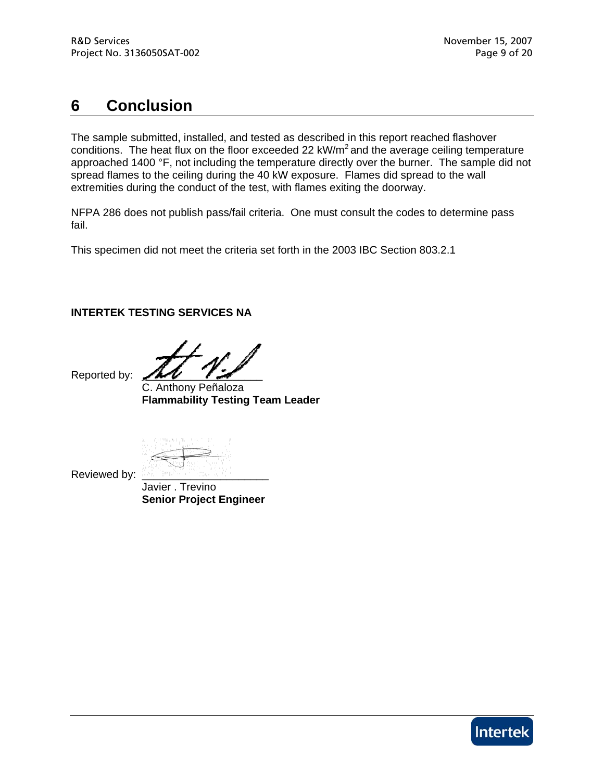# **6 Conclusion**

The sample submitted, installed, and tested as described in this report reached flashover conditions. The heat flux on the floor exceeded 22  $kW/m<sup>2</sup>$  and the average ceiling temperature approached 1400 °F, not including the temperature directly over the burner. The sample did not spread flames to the ceiling during the 40 kW exposure. Flames did spread to the wall extremities during the conduct of the test, with flames exiting the doorway.

NFPA 286 does not publish pass/fail criteria. One must consult the codes to determine pass fail.

This specimen did not meet the criteria set forth in the 2003 IBC Section 803.2.1

### **INTERTEK TESTING SERVICES NA**

Reported by:

 C. Anthony Peñaloza **Flammability Testing Team Leader** 

Reviewed by:

 Javier . Trevino **Senior Project Engineer** 

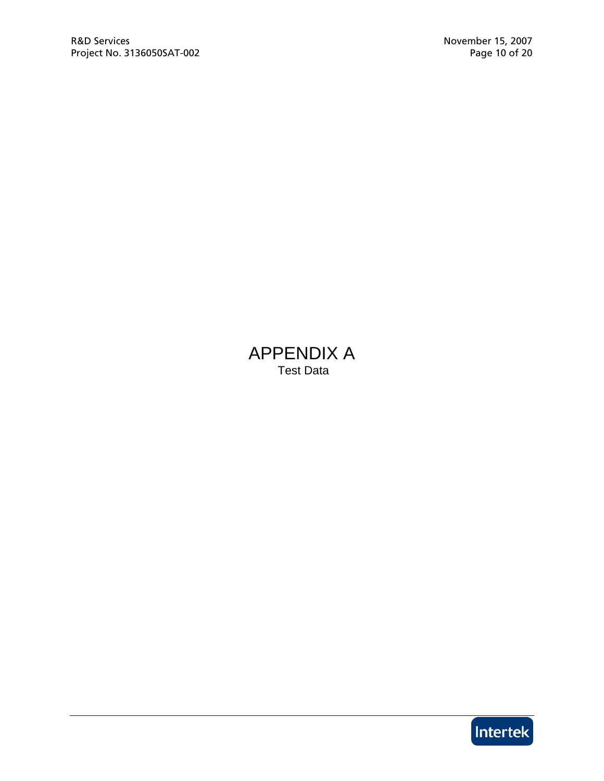# APPENDIX A Test Data

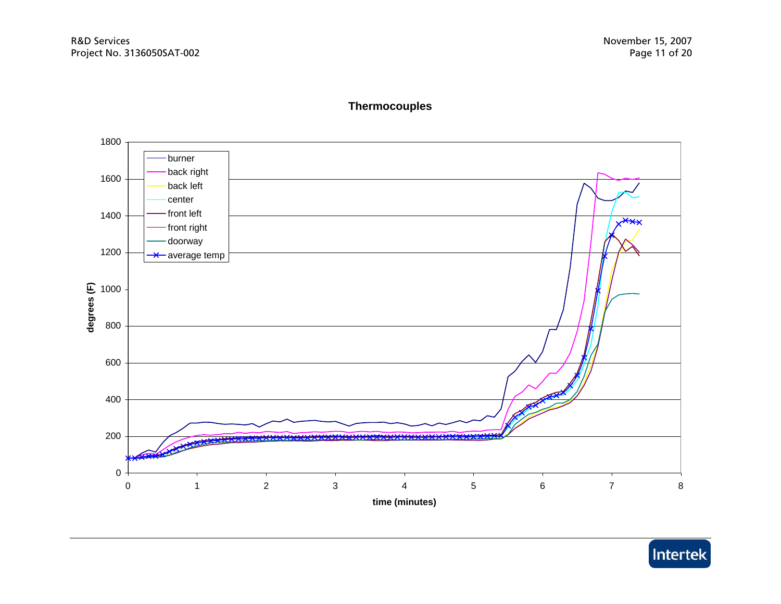### **Thermocouples**



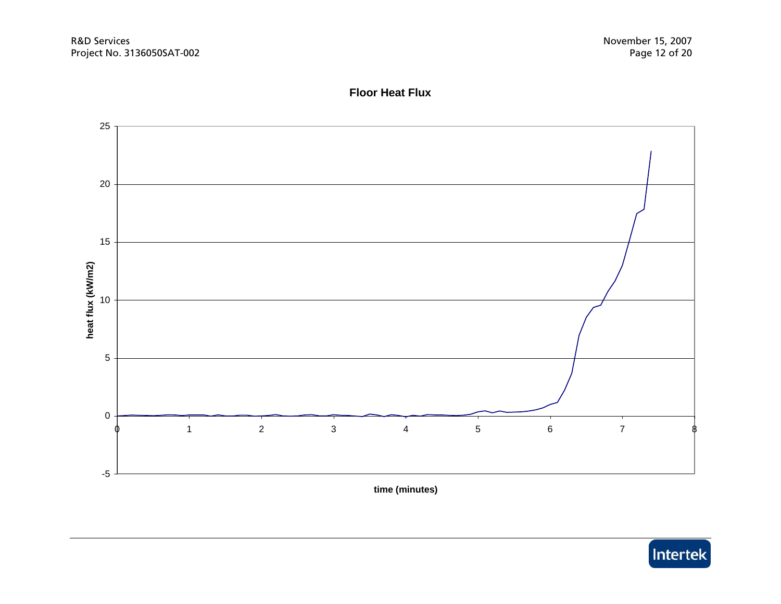

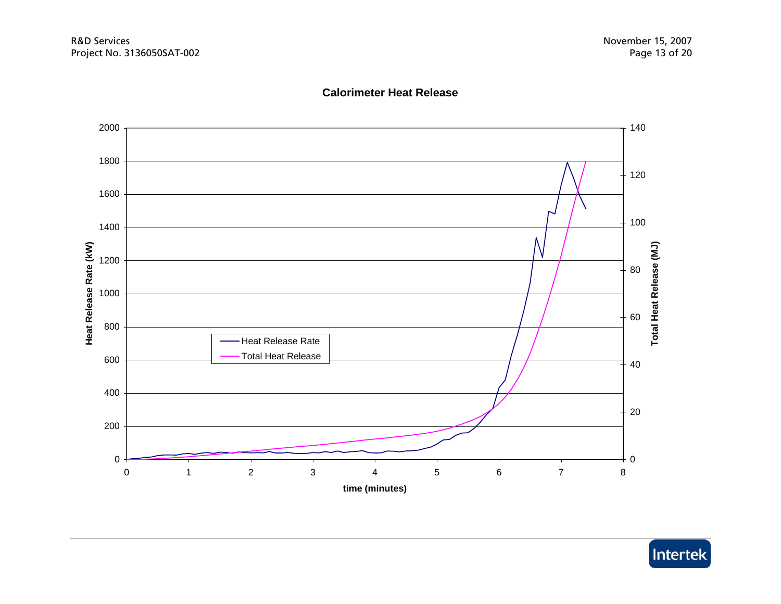



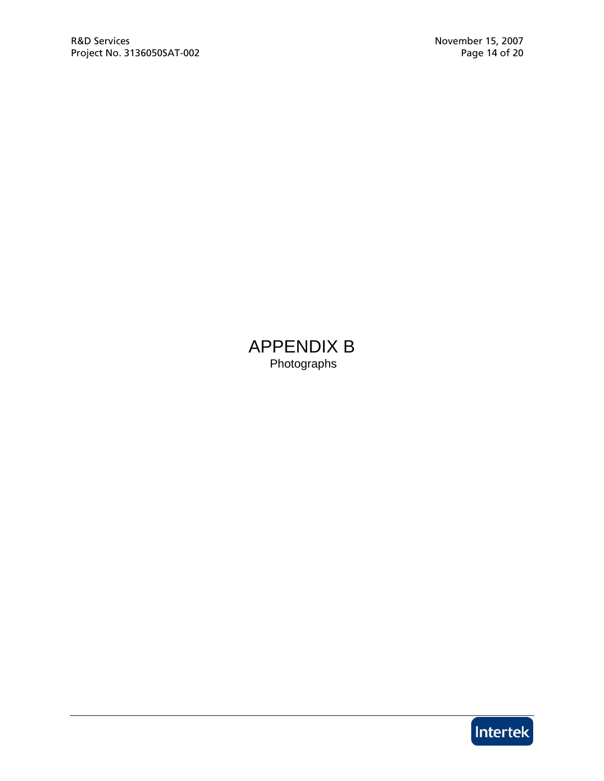APPENDIX B Photographs

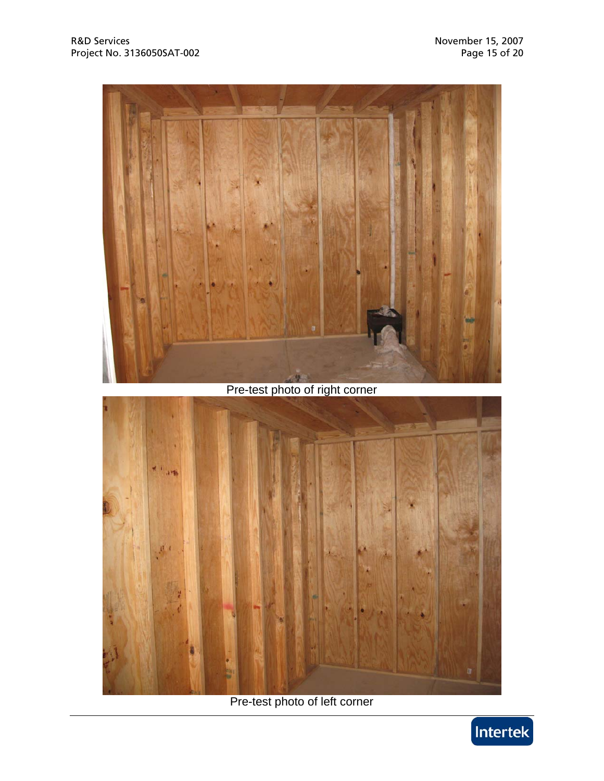

# Pre-test photo of right corner



Pre-test photo of left corner

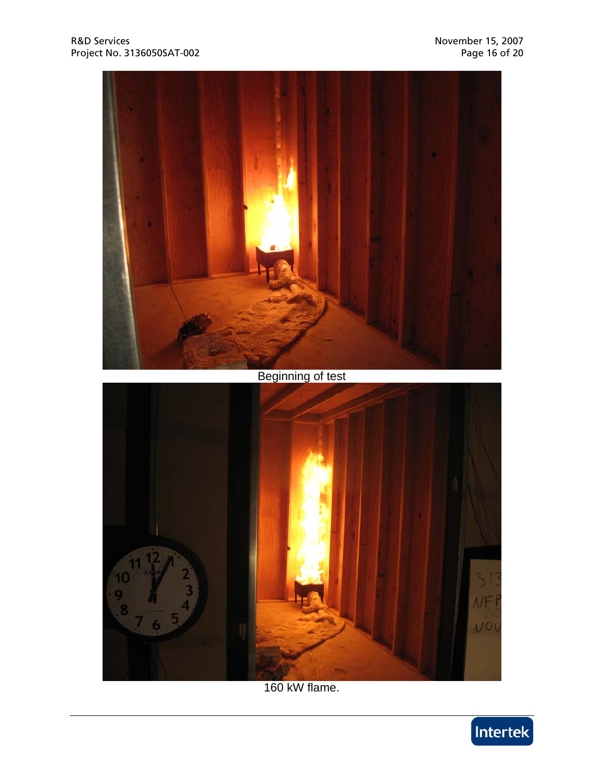

160 kW flame.

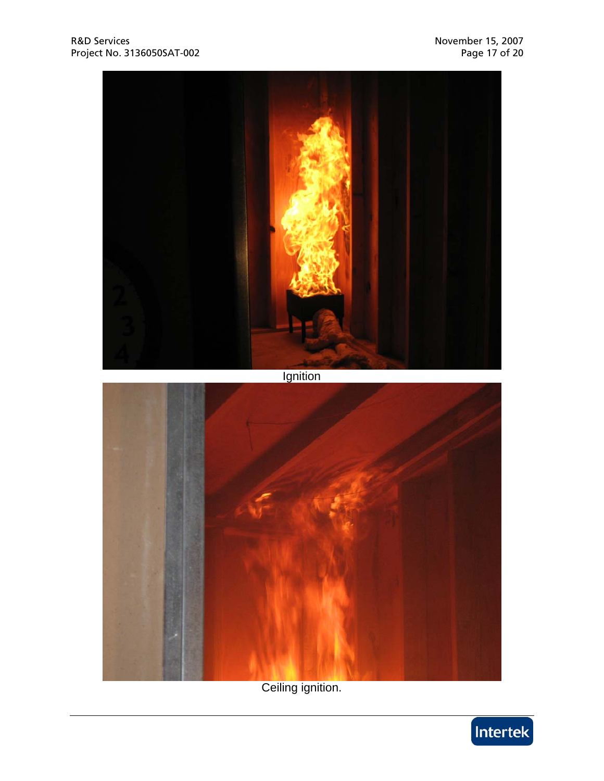

Ceiling ignition.

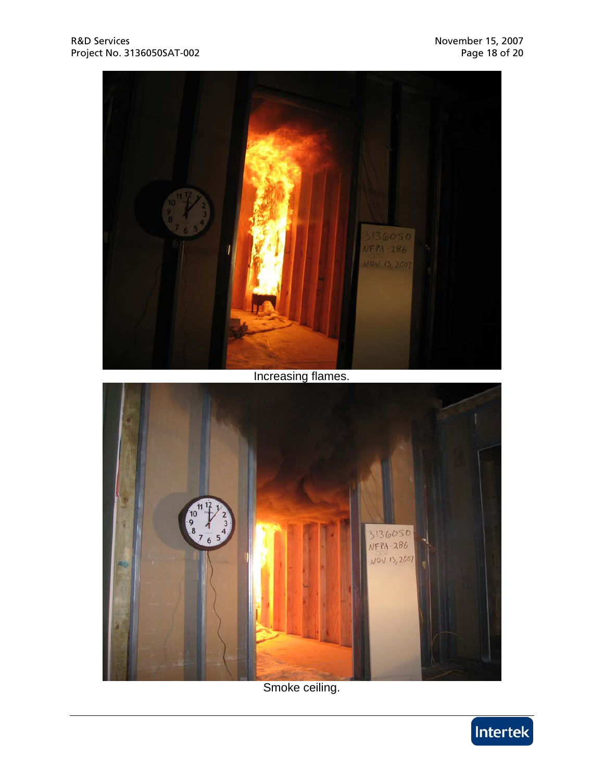

Smoke ceiling.

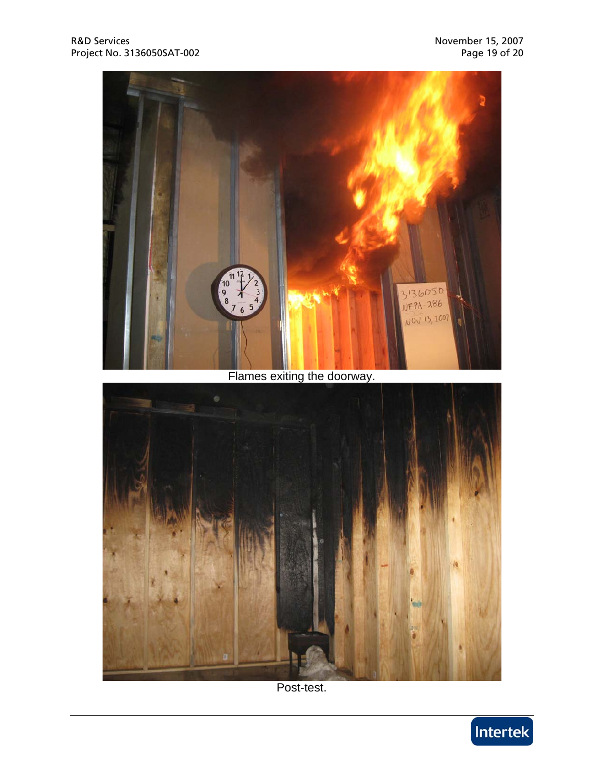

## Flames exiting the doorway.



Post-test.